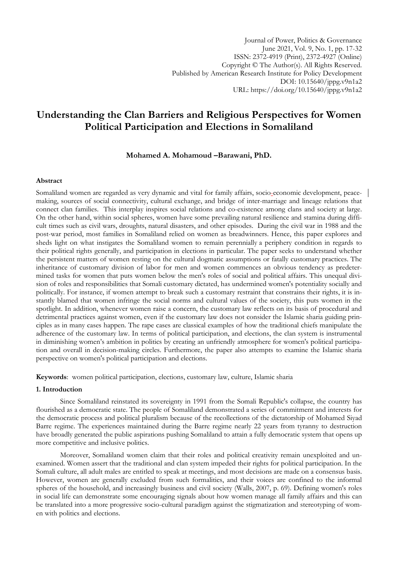Journal of Power, Politics & Governance June 2021, Vol. 9, No. 1, pp. 17-32 ISSN: 2372-4919 (Print), 2372-4927 (Online) Copyright © The Author(s). All Rights Reserved. Published by American Research Institute for Policy Development DOI: 10.15640/jppg.v9n1a2 URL: https://doi.org/10.15640/jppg.v9n1a2

# **Understanding the Clan Barriers and Religious Perspectives for Women Political Participation and Elections in Somaliland**

**Mohamed A. Mohamoud –Barawani, PhD.**

# **Abstract**

Somaliland women are regarded as very dynamic and vital for family affairs, socio-economic development, peacemaking, sources of social connectivity, cultural exchange, and bridge of inter-marriage and lineage relations that connect clan families. This interplay inspires social relations and co-existence among clans and society at large. On the other hand, within social spheres, women have some prevailing natural resilience and stamina during difficult times such as civil wars, droughts, natural disasters, and other episodes. During the civil war in 1988 and the post-war period, most families in Somaliland relied on women as breadwinners. Hence, this paper explores and sheds light on what instigates the Somaliland women to remain perennially a periphery condition in regards to their political rights generally, and participation in elections in particular. The paper seeks to understand whether the persistent matters of women resting on the cultural dogmatic assumptions or fatally customary practices. The inheritance of customary division of labor for men and women commences an obvious tendency as predetermined tasks for women that puts women below the men's roles of social and political affairs. This unequal division of roles and responsibilities that Somali customary dictated, has undermined women's potentiality socially and politically. For instance, if women attempt to break such a customary restraint that constrains their rights, it is instantly blamed that women infringe the social norms and cultural values of the society, this puts women in the spotlight. In addition, whenever women raise a concern, the customary law reflects on its basis of procedural and detrimental practices against women, even if the customary law does not consider the Islamic sharia guiding principles as in many cases happen. The rape cases are classical examples of how the traditional chiefs manipulate the adherence of the customary law. In terms of political participation, and elections, the clan system is instrumental in diminishing women's ambition in politics by creating an unfriendly atmosphere for women's political participation and overall in decision-making circles. Furthermore, the paper also attempts to examine the Islamic sharia perspective on women's political participation and elections.

**Keywords**: women political participation, elections, customary law, culture, Islamic sharia

## **1. Introduction**

Since Somaliland reinstated its sovereignty in 1991 from the Somali Republic's collapse, the country has flourished as a democratic state. The people of Somaliland demonstrated a series of commitment and interests for the democratic process and political pluralism because of the recollections of the dictatorship of Mohamed Siyad Barre regime. The experiences maintained during the Barre regime nearly 22 years from tyranny to destruction have broadly generated the public aspirations pushing Somaliland to attain a fully democratic system that opens up more competitive and inclusive politics.

Moreover, Somaliland women claim that their roles and political creativity remain unexploited and unexamined. Women assert that the traditional and clan system impeded their rights for political participation. In the Somali culture, all adult males are entitled to speak at meetings, and most decisions are made on a consensus basis. However, women are generally excluded from such formalities, and their voices are confined to the informal spheres of the household, and increasingly business and civil society (Walls, 2007, p. 69). Defining women's roles in social life can demonstrate some encouraging signals about how women manage all family affairs and this can be translated into a more progressive socio-cultural paradigm against the stigmatization and stereotyping of women with politics and elections.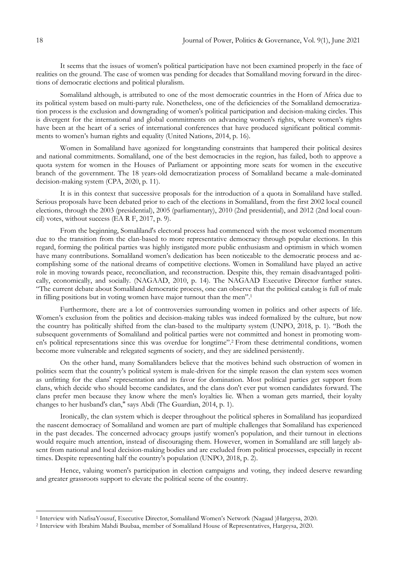It seems that the issues of women's political participation have not been examined properly in the face of realities on the ground. The case of women was pending for decades that Somaliland moving forward in the directions of democratic elections and political pluralism.

Somaliland although, is attributed to one of the most democratic countries in the Horn of Africa due to its political system based on multi-party rule. Nonetheless, one of the deficiencies of the Somaliland democratization process is the exclusion and downgrading of women's political participation and decision-making circles. This is divergent for the international and global commitments on advancing women's rights, where women's rights have been at the heart of a series of international conferences that have produced significant political commitments to women's human rights and equality (United Nations, 2014, p. 16).

Women in Somaliland have agonized for longstanding constraints that hampered their political desires and national commitments. Somaliland, one of the best democracies in the region, has failed, both to approve a quota system for women in the Houses of Parliament or appointing more seats for women in the executive branch of the government. The 18 years-old democratization process of Somaliland became a male-dominated decision-making system (CPA, 2020, p. 11).

It is in this context that successive proposals for the introduction of a quota in Somaliland have stalled. Serious proposals have been debated prior to each of the elections in Somaliland, from the first 2002 local council elections, through the 2003 (presidential), 2005 (parliamentary), 2010 (2nd presidential), and 2012 (2nd local council) votes, without success (EA R F, 2017, p. 9).

From the beginning, Somaliland's electoral process had commenced with the most welcomed momentum due to the transition from the clan-based to more representative democracy through popular elections. In this regard, forming the political parties was highly instigated more public enthusiasm and optimism in which women have many contributions. Somaliland women's dedication has been noticeable to the democratic process and accomplishing some of the national dreams of competitive elections. Women in Somaliland have played an active role in moving towards peace, reconciliation, and reconstruction. Despite this, they remain disadvantaged politically, economically, and socially. (NAGAAD, 2010, p. 14). The NAGAAD Executive Director further states. "The current debate about Somaliland democratic process, one can observe that the political catalog is full of male in filling positions but in voting women have major turnout than the men".<sup>1</sup>

Furthermore, there are a lot of controversies surrounding women in politics and other aspects of life. Women's exclusion from the politics and decision-making tables was indeed formalized by the culture, but now the country has politically shifted from the clan-based to the multiparty system (UNPO, 2018, p. 1). "Both the subsequent governments of Somaliland and political parties were not committed and honest in promoting women's political representations since this was overdue for longtime".<sup>2</sup> From these detrimental conditions, women become more vulnerable and relegated segments of society, and they are sidelined persistently.

On the other hand, many Somalilanders believe that the motives behind such obstruction of women in politics seem that the country's political system is male-driven for the simple reason the clan system sees women as unfitting for the clans' representation and its favor for domination. Most political parties get support from clans, which decide who should become candidates, and the clans don't ever put women candidates forward. The clans prefer men because they know where the men's loyalties lie. When a woman gets married, their loyalty changes to her husband's clan," says Abdi (The Guardian, 2014, p. 1).

Ironically, the clan system which is deeper throughout the political spheres in Somaliland has jeopardized the nascent democracy of Somaliland and women are part of multiple challenges that Somaliland has experienced in the past decades. The concerned advocacy groups justify women's population, and their turnout in elections would require much attention, instead of discouraging them. However, women in Somaliland are still largely absent from national and local decision-making bodies and are excluded from political processes, especially in recent times. Despite representing half the country's population (UNPO, 2018, p. 2).

Hence, valuing women's participation in election campaigns and voting, they indeed deserve rewarding and greater grassroots support to elevate the political scene of the country.

<sup>1</sup> Interview with NafisaYousuf, Executive Director, Somaliland Women's Network (Nagaad )Hargeysa, 2020.

<sup>2</sup> Interview with Ibrahim Mahdi Buubaa, member of Somaliland House of Representatives, Hargeysa, 2020.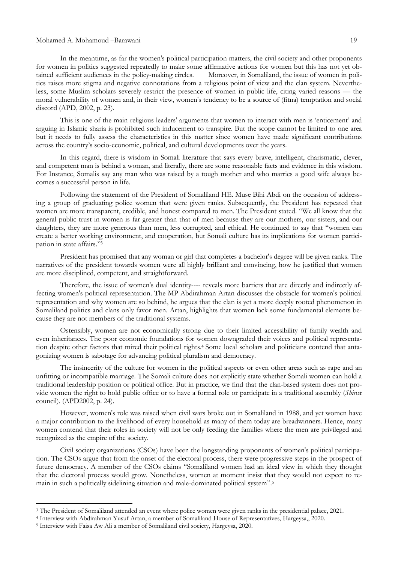In the meantime, as far the women's political participation matters, the civil society and other proponents for women in politics suggested repeatedly to make some affirmative actions for women but this has not yet obtained sufficient audiences in the policy-making circles. Moreover, in Somaliland, the issue of women in politics raises more stigma and negative connotations from a religious point of view and the clan system. Nevertheless, some Muslim scholars severely restrict the presence of women in public life, citing varied reasons — the moral vulnerability of women and, in their view, women's tendency to be a source of (fitna) temptation and social discord (APD, 2002, p. 23).

This is one of the main religious leaders' arguments that women to interact with men is 'enticement' and arguing in Islamic sharia is prohibited such inducement to transpire. But the scope cannot be limited to one area but it needs to fully assess the characteristics in this matter since women have made significant contributions across the country's socio-economic, political, and cultural developments over the years.

In this regard, there is wisdom in Somali literature that says every brave, intelligent, charismatic, clever, and competent man is behind a woman, and literally, there are some reasonable facts and evidence in this wisdom. For Instance, Somalis say any man who was raised by a tough mother and who marries a good wife always becomes a successful person in life.

Following the statement of the President of Somaliland HE. Muse Bihi Abdi on the occasion of addressing a group of graduating police women that were given ranks. Subsequently, the President has repeated that women are more transparent, credible, and honest compared to men. The President stated. "We all know that the general public trust in women is far greater than that of men because they are our mothers, our sisters, and our daughters, they are more generous than men, less corrupted, and ethical. He continued to say that "women can create a better working environment, and cooperation, but Somali culture has its implications for women participation in state affairs."3

President has promised that any woman or girl that completes a bachelor's degree will be given ranks. The narratives of the president towards women were all highly brilliant and convincing, how he justified that women are more disciplined, competent, and straightforward.

Therefore, the issue of women's dual identity---- reveals more barriers that are directly and indirectly affecting women's political representation. The MP Abdirahman Artan discusses the obstacle for women's political representation and why women are so behind, he argues that the clan is yet a more deeply rooted phenomenon in Somaliland politics and clans only favor men. Artan, highlights that women lack some fundamental elements because they are not members of the traditional systems.

Ostensibly, women are not economically strong due to their limited accessibility of family wealth and even inheritances. The poor economic foundations for women downgraded their voices and political representation despite other factors that mired their political rights.<sup>4</sup> Some local scholars and politicians contend that antagonizing women is sabotage for advancing political pluralism and democracy.

The insincerity of the culture for women in the political aspects or even other areas such as rape and an unfitting or incompatible marriage. The Somali culture does not explicitly state whether Somali women can hold a traditional leadership position or political office. But in practice, we find that the clan-based system does not provide women the right to hold public office or to have a formal role or participate in a traditional assembly (*Shir*or council). (APD2002, p. 24).

However, women's role was raised when civil wars broke out in Somaliland in 1988, and yet women have a major contribution to the livelihood of every household as many of them today are breadwinners. Hence, many women contend that their roles in society will not be only feeding the families where the men are privileged and recognized as the empire of the society.

Civil society organizations (CSOs) have been the longstanding proponents of women's political participation. The CSOs argue that from the onset of the electoral process, there were progressive steps in the prospect of future democracy. A member of the CSOs claims "Somaliland women had an ideal view in which they thought that the electoral process would grow. Nonetheless, women at moment insist that they would not expect to remain in such a politically sidelining situation and male-dominated political system".<sup>5</sup>

<sup>&</sup>lt;sup>3</sup> The President of Somaliland attended an event where police women were given ranks in the presidential palace, 2021.

<sup>4</sup> Interview with Abdirahman Yusuf Artan, a member of Somaliland House of Representatives, Hargeysa,, 2020.

<sup>5</sup> Interview with Faisa Aw Ali a member of Somaliland civil society, Hargeysa, 2020.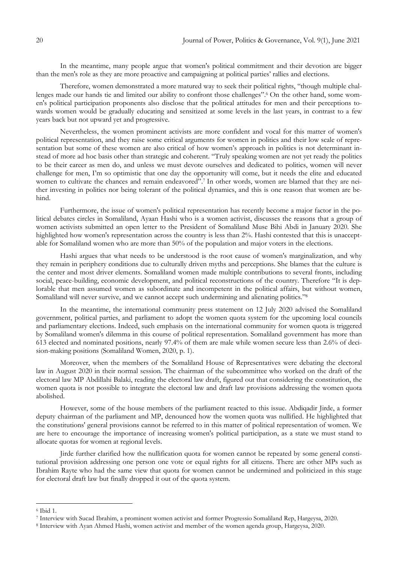In the meantime, many people argue that women's political commitment and their devotion are bigger than the men's role as they are more proactive and campaigning at political parties' rallies and elections.

Therefore, women demonstrated a more matured way to seek their political rights, "though multiple challenges made our hands tie and limited our ability to confront those challenges".<sup>6</sup> On the other hand, some women's political participation proponents also disclose that the political attitudes for men and their perceptions towards women would be gradually educating and sensitized at some levels in the last years, in contrast to a few years back but not upward yet and progressive.

Nevertheless, the women prominent activists are more confident and vocal for this matter of women's political representation, and they raise some critical arguments for women in politics and their low scale of representation but some of these women are also critical of how women's approach in politics is not determinant instead of more ad hoc basis other than strategic and coherent. "Truly speaking women are not yet ready the politics to be their career as men do, and unless we must devote ourselves and dedicated to politics, women will never challenge for men, I'm so optimistic that one day the opportunity will come, but it needs the elite and educated women to cultivate the chances and remain endeavored".<sup>7</sup> In other words, women are blamed that they are neither investing in politics nor being tolerant of the political dynamics, and this is one reason that women are behind.

Furthermore, the issue of women's political representation has recently become a major factor in the political debates circles in Somaliland, Ayaan Hashi who is a women activist, discusses the reasons that a group of women activists submitted an open letter to the President of Somaliland Muse Bihi Abdi in January 2020. She highlighted how women's representation across the country is less than 2%. Hashi contested that this is unacceptable for Somaliland women who are more than 50% of the population and major voters in the elections.

Hashi argues that what needs to be understood is the root cause of women's marginalization, and why they remain in periphery conditions due to culturally driven myths and perceptions. She blames that the culture is the center and most driver elements. Somaliland women made multiple contributions to several fronts, including social, peace-building, economic development, and political reconstructions of the country. Therefore "It is deplorable that men assumed women as subordinate and incompetent in the political affairs, but without women, Somaliland will never survive, and we cannot accept such undermining and alienating politics."<sup>8</sup>

In the meantime, the international community press statement on 12 July 2020 advised the Somaliland government, political parties, and parliament to adopt the women quota system for the upcoming local councils and parliamentary elections. Indeed, such emphasis on the international community for women quota is triggered by Somaliland women's dilemma in this course of political representation. Somaliland government has more than 613 elected and nominated positions, nearly 97.4% of them are male while women secure less than 2.6% of decision-making positions (Somaliland Women, 2020, p. 1).

Moreover, when the members of the Somaliland House of Representatives were debating the electoral law in August 2020 in their normal session. The chairman of the subcommittee who worked on the draft of the electoral law MP Abdillahi Balaki, reading the electoral law draft, figured out that considering the constitution, the women quota is not possible to integrate the electoral law and draft law provisions addressing the women quota abolished.

However, some of the house members of the parliament reacted to this issue. Abdiqadir Jirde, a former deputy chairman of the parliament and MP, denounced how the women quota was nullified. He highlighted that the constitutions' general provisions cannot be referred to in this matter of political representation of women. We are here to encourage the importance of increasing women's political participation, as a state we must stand to allocate quotas for women at regional levels.

Jirde further clarified how the nullification quota for women cannot be repeated by some general constitutional provision addressing one person one vote or equal rights for all citizens. There are other MPs such as Ibrahim Rayte who had the same view that quota for women cannot be undermined and politicized in this stage for electoral draft law but finally dropped it out of the quota system.

<sup>6</sup> Ibid 1.

<sup>7</sup> Interview with Sucad Ibrahim, a prominent women activist and former Progressio Somaliland Rep, Hargeysa, 2020.

<sup>8</sup> Interview with Ayan Ahmed Hashi, women activist and member of the women agenda group, Hargeysa, 2020.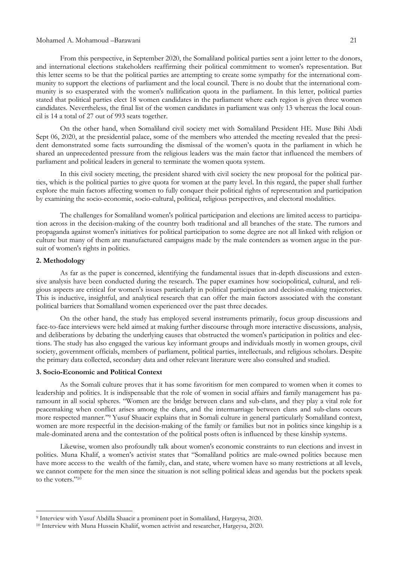From this perspective, in September 2020, the Somaliland political parties sent a joint letter to the donors, and international elections stakeholders reaffirming their political commitment to women's representation. But this letter seems to be that the political parties are attempting to create some sympathy for the international com-

munity to support the elections of parliament and the local council. There is no doubt that the international community is so exasperated with the women's nullification quota in the parliament. In this letter, political parties stated that political parties elect 18 women candidates in the parliament where each region is given three women candidates. Nevertheless, the final list of the women candidates in parliament was only 13 whereas the local council is 14 a total of 27 out of 993 seats together.

On the other hand, when Somaliland civil society met with Somaliland President HE. Muse Bihi Abdi Sept 06, 2020, at the presidential palace, some of the members who attended the meeting revealed that the president demonstrated some facts surrounding the dismissal of the women's quota in the parliament in which he shared an unprecedented pressure from the religious leaders was the main factor that influenced the members of parliament and political leaders in general to terminate the women quota system.

In this civil society meeting, the president shared with civil society the new proposal for the political parties, which is the political parties to give quota for women at the party level. In this regard, the paper shall further explore the main factors affecting women to fully conquer their political rights of representation and participation by examining the socio-economic, socio-cultural, political, religious perspectives, and electoral modalities.

The challenges for Somaliland women's political participation and elections are limited access to participation across in the decision-making of the country both traditional and all branches of the state. The rumors and propaganda against women's initiatives for political participation to some degree are not all linked with religion or culture but many of them are manufactured campaigns made by the male contenders as women argue in the pursuit of women's rights in politics.

#### **2. Methodology**

1

As far as the paper is concerned, identifying the fundamental issues that in-depth discussions and extensive analysis have been conducted during the research. The paper examines how sociopolitical, cultural, and religious aspects are critical for women's issues particularly in political participation and decision-making trajectories. This is inductive, insightful, and analytical research that can offer the main factors associated with the constant political barriers that Somaliland women experienced over the past three decades.

On the other hand, the study has employed several instruments primarily, focus group discussions and face-to-face interviews were held aimed at making further discourse through more interactive discussions, analysis, and deliberations by debating the underlying causes that obstructed the women's participation in politics and elections. The study has also engaged the various key informant groups and individuals mostly in women groups, civil society, government officials, members of parliament, political parties, intellectuals, and religious scholars. Despite the primary data collected, secondary data and other relevant literature were also consulted and studied.

#### **3. Socio-Economic and Political Context**

As the Somali culture proves that it has some favoritism for men compared to women when it comes to leadership and politics. It is indispensable that the role of women in social affairs and family management has paramount in all social spheres. "Women are the bridge between clans and sub-clans, and they play a vital role for peacemaking when conflict arises among the clans, and the intermarriage between clans and sub-clans occurs more respected manner."<sup>9</sup> Yusuf Shaacir explains that in Somali culture in general particularly Somaliland context, women are more respectful in the decision-making of the family or families but not in politics since kingship is a male-dominated arena and the contestation of the political posts often is influenced by these kinship systems.

Likewise, women also profoundly talk about women's economic constraints to run elections and invest in politics. Muna Khalif, a women's activist states that "Somaliland politics are male-owned politics because men have more access to the wealth of the family, clan, and state, where women have so many restrictions at all levels, we cannot compete for the men since the situation is not selling political ideas and agendas but the pockets speak to the voters."<sup>10</sup>

<sup>9</sup> Interview with Yusuf Abdilla Shaacir a prominent poet in Somaliland, Hargeysa, 2020.

<sup>10</sup> Interview with Muna Hussein Khaliif, women activist and researcher, Hargeysa, 2020.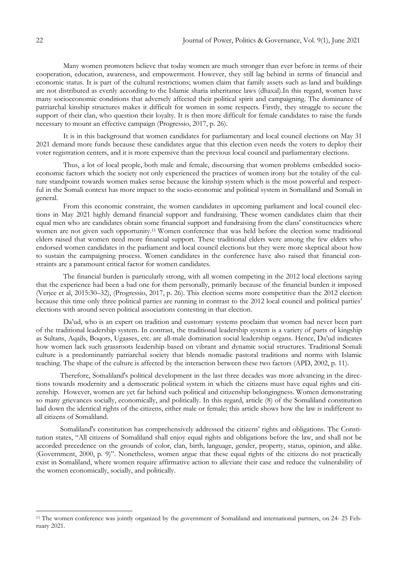Many women promoters believe that today women are much stronger than ever before in terms of their cooperation, education, awareness, and empowerment. However, they still lag behind in terms of financial and economic status. It is part of the cultural restrictions; women claim that family assets such as land and buildings are not distributed as evenly according to the Islamic sharia inheritance laws (dhaxal).In this regard, women have many socioeconomic conditions that adversely affected their political spirit and campaigning. The dominance of patriarchal kinship structures makes it difficult for women in some respects. Firstly, they struggle to secure the support of their clan, who question their loyalty. It is then more difficult for female candidates to raise the funds necessary to mount an effective campaign (Progressio, 2017, p. 26).

It is in this background that women candidates for parliamentary and local council elections on May 31 2021 demand more funds because these candidates argue that this election even needs the voters to deploy their voter registration centers, and it is more expensive than the previous local council and parliamentary elections.

Thus, a lot of local people, both male and female, discoursing that women problems embedded socioeconomic factors which the society not only experienced the practices of women irony but the totality of the culture standpoint towards women makes sense because the kinship system which is the most powerful and respectful in the Somali context has more impact to the socio-economic and political system in Somaliland and Somali in general.

From this economic constraint, the women candidates in upcoming parliament and local council elections in May 2021 highly demand financial support and fundraising. These women candidates claim that their equal men who are candidates obtain some financial support and fundraising from the clans' constituencies where women are not given such opportunity.<sup>11</sup> Women conference that was held before the election some traditional elders raised that women need more financial support. These traditional elders were among the few elders who endorsed women candidates in the parliament and local council elections but they were more skeptical about how to sustain the campaigning process. Women candidates in the conference have also raised that financial constraints are a paramount critical factor for women candidates.

The financial burden is particularly strong, with all women competing in the 2012 local elections saying that the experience had been a bad one for them personally, primarily because of the financial burden it imposed (Verjee et al, 2015:30–32), (Progressio, 2017, p. 26). This election seems more competitive than the 2012 election because this time only three political parties are running in contrast to the 2012 local council and political parties' elections with around seven political associations contesting in that election.

Da'ud, who is an expert on tradition and customary systems proclaim that women had never been part of the traditional leadership system. In contrast, the traditional leadership system is a variety of parts of kingship as Sultans, Aqails, Boqors, Ugaases, etc. are all-male domination social leadership organs. Hence, Da'ud indicates how women lack such grassroots leadership based on vibrant and dynamic social structures. Traditional Somali culture is a predominantly patriarchal society that blends nomadic pastoral traditions and norms with Islamic teaching. The shape of the culture is affected by the interaction between these two factors (APD, 2002, p. 11).

Therefore, Somaliland's political development in the last three decades was more advancing in the directions towards modernity and a democratic political system in which the citizens must have equal rights and citizenship. However, women are yet far behind such political and citizenship belongingness. Women demonstrating so many grievances socially, economically, and politically. In this regard, article (8) of the Somaliland constitution laid down the identical rights of the citizens, either male or female; this article shows how the law is indifferent to all citizens of Somaliland.

Somaliland's constitution has comprehensively addressed the citizens' rights and obligations. The Constitution states, "All citizens of Somaliland shall enjoy equal rights and obligations before the law, and shall not be accorded precedence on the grounds of color, clan, birth*,* language, gender, property, status, opinion, and alike. (Government, 2000, p. 9)". Nonetheless, women argue that these equal rights of the citizens do not practically exist in Somaliland, where women require affirmative action to alleviate their case and reduce the vulnerability of the women economically, socially, and politically.

<sup>11</sup> The women conference was jointly organized by the government of Somaliland and international partners, on 24- 25 February 2021.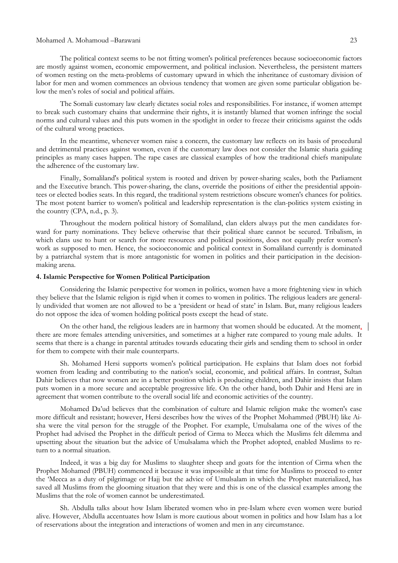The political context seems to be not fitting women's political preferences because socioeconomic factors are mostly against women, economic empowerment, and political inclusion. Nevertheless, the persistent matters of women resting on the meta-problems of customary upward in which the inheritance of customary division of labor for men and women commences an obvious tendency that women are given some particular obligation below the men's roles of social and political affairs.

The Somali customary law clearly dictates social roles and responsibilities. For instance, if women attempt to break such customary chains that undermine their rights, it is instantly blamed that women infringe the social norms and cultural values and this puts women in the spotlight in order to freeze their criticisms against the odds of the cultural wrong practices.

In the meantime, whenever women raise a concern, the customary law reflects on its basis of procedural and detrimental practices against women, even if the customary law does not consider the Islamic sharia guiding principles as many cases happen. The rape cases are classical examples of how the traditional chiefs manipulate the adherence of the customary law.

Finally, Somaliland's political system is rooted and driven by power-sharing scales, both the Parliament and the Executive branch. This power-sharing, the clans, override the positions of either the presidential appointees or elected bodies seats. In this regard, the traditional system restrictions obscure women's chances for politics. The most potent barrier to women's political and leadership representation is the clan-politics system existing in the country (CPA, n.d., p. 3).

Throughout the modern political history of Somaliland, clan elders always put the men candidates forward for party nominations. They believe otherwise that their political share cannot be secured. Tribalism, in which clans use to hunt or search for more resources and political positions, does not equally prefer women's work as supposed to men. Hence, the socioeconomic and political context in Somaliland currently is dominated by a patriarchal system that is more antagonistic for women in politics and their participation in the decisionmaking arena.

## **4. Islamic Perspective for Women Political Participation**

Considering the Islamic perspective for women in politics, women have a more frightening view in which they believe that the Islamic religion is rigid when it comes to women in politics. The religious leaders are generally undivided that women are not allowed to be a 'president or head of state' in Islam. But, many religious leaders do not oppose the idea of women holding political posts except the head of state.

On the other hand, the religious leaders are in harmony that women should be educated. At the moment, there are more females attending universities, and sometimes at a higher rate compared to young male adults. It seems that there is a change in parental attitudes towards educating their girls and sending them to school in order for them to compete with their male counterparts.

Sh. Mohamed Hersi supports women's political participation. He explains that Islam does not forbid women from leading and contributing to the nation's social, economic, and political affairs. In contrast, Sultan Dahir believes that now women are in a better position which is producing children, and Dahir insists that Islam puts women in a more secure and acceptable progressive life. On the other hand, both Dahir and Hersi are in agreement that women contribute to the overall social life and economic activities of the country.

Mohamed Da'ud believes that the combination of culture and Islamic religion make the women's case more difficult and resistant; however, Hersi describes how the wives of the Prophet Mohammed (PBUH) like Aisha were the vital person for the struggle of the Prophet. For example, Umulsalama one of the wives of the Prophet had advised the Prophet in the difficult period of Cirma to Mecca which the Muslims felt dilemma and upsetting about the situation but the advice of Umulsalama which the Prophet adopted, enabled Muslims to return to a normal situation.

Indeed, it was a big day for Muslims to slaughter sheep and goats for the intention of Cirma when the Prophet Mohamed (PBUH) commenced it because it was impossible at that time for Muslims to proceed to enter the 'Mecca as a duty of pilgrimage or Hajj but the advice of Umulsalam in which the Prophet materialized, has saved all Muslims from the glooming situation that they were and this is one of the classical examples among the Muslims that the role of women cannot be underestimated.

Sh. Abdulla talks about how Islam liberated women who in pre-Islam where even women were buried alive. However, Abdulla accentuates how Islam is more cautious about women in politics and how Islam has a lot of reservations about the integration and interactions of women and men in any circumstance.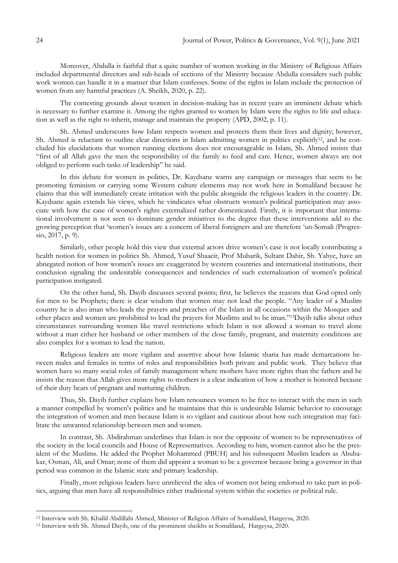Moreover, Abdulla is faithful that a quite number of women working in the Ministry of Religious Affairs included departmental directors and sub-heads of sections of the Ministry because Abdulla considers such public work women can handle it in a manner that Islam confesses. Some of the rights in Islam include the protection of women from any harmful practices (A. Sheikh, 2020, p. 22).

The contesting grounds about women in decision-making has in recent years an imminent debate which is necessary to further examine it. Among the rights granted to women by Islam were the rights to life and education as well as the right to inherit, manage and maintain the property (APD, 2002, p. 11).

Sh. Ahmed underscores how Islam respects women and protects them their lives and dignity; however, Sh. Ahmed is reluctant to outline clear directions in Islam admitting women in politics explicitly<sup>12</sup>, and he concluded his elucidations that women running elections does not encourageable in Islam, Sh. Ahmed insists that ―first of all Allah gave the men the responsibility of the family to feed and care. Hence, women always are not obliged to perform such tasks of leadership" he said.

In this debate for women in politics, Dr. Kaydsane warns any campaign or messages that seem to be promoting feminism or carrying some Western culture elements may not work here in Somaliland because he claims that this will immediately create irritation with the public alongside the religious leaders in the country. Dr. Kaydsane again extends his views, which he vindicates what obstructs women's political participation may associate with how the case of women's rights externalized rather domesticated. Firstly, it is important that international involvement is not seen to dominate gender initiatives to the degree that these interventions add to the growing perception that ‗women's issues are a concern of liberal foreigners and are therefore ‗un-Somali (Progressio, 2017, p. 9).

Similarly, other people hold this view that external actors drive women's case is not locally contributing a health notion for women in politics Sh. Ahmed, Yusuf Shaacir, Prof Mubarik, Sultant Dahir, Sh. Yahye, have an abnegated notion of how women's issues are exaggerated by western countries and international institutions, their conclusion signaling the undesirable consequences and tendencies of such externalization of women's political participation instigated.

On the other hand, Sh. Dayib discusses several points; first, he believes the reasons that God opted only for men to be Prophets; there is clear wisdom that women may not lead the people. "Any leader of a Muslim country he is also iman who leads the prayers and preaches of the Islam in all occasions within the Mosques and other places and women are prohibited to lead the prayers for Muslims and to be iman."<sup>13</sup>Dayib talks about other circumstances surrounding women like travel restrictions which Islam is not allowed a woman to travel alone without a man either her husband or other members of the close family, pregnant, and maternity conditions are also complex for a woman to lead the nation.

Religious leaders are more vigilant and assertive about how Islamic sharia has made demarcations between males and females in terms of roles and responsibilities both private and public work. They believe that women have so many social roles of family management where mothers have more rights than the fathers and he insists the reason that Allah gives more rights to mothers is a clear indication of how a mother is honored because of their duty bears of pregnant and nurturing children.

Thus, Sh. Dayib further explains how Islam renounces women to be free to interact with the men in such a manner compelled by women's politics and he maintains that this is undesirable Islamic behavior to encourage the integration of women and men because Islam is so vigilant and cautious about how such integration may facilitate the unwanted relationship between men and women.

In contrast, Sh. Abdirahman underlines that Islam is not the opposite of women to be representatives of the society in the local councils and House of Representatives. According to him, women cannot also be the president of the Muslims. He added the Prophet Mohammed (PBUH) and his subsequent Muslim leaders as Abubakar, Osman, Ali, and Omar; none of them did appoint a woman to be a governor because being a governor in that period was common in the Islamic state and primary leadership.

Finally, most religious leaders have unrelieved the idea of women not being endorsed to take part in politics, arguing that men have all responsibilities either traditional system within the societies or political rule.

<sup>12</sup> Interview with Sh. Khaliil Abdillahi Ahmed, Minister of Religion Affairs of Somaliland, Hargeysa, 2020.

<sup>13</sup> Interview with Sh. Ahmed Dayib, one of the prominent sheikhs in Somaliland, Hargeysa, 2020.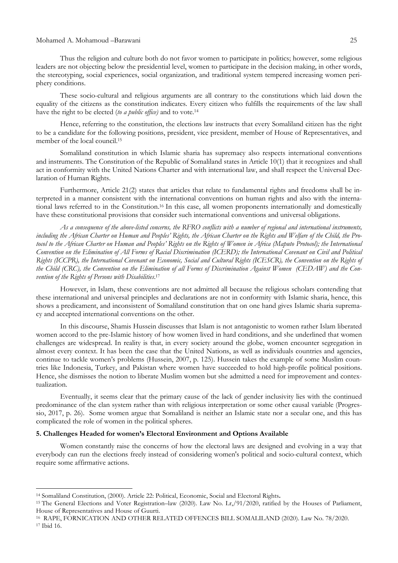Thus the religion and culture both do not favor women to participate in politics; however, some religious leaders are not objecting below the presidential level, women to participate in the decision making, in other words, the stereotyping, social experiences, social organization, and traditional system tempered increasing women periphery conditions.

These socio-cultural and religious arguments are all contrary to the constitutions which laid down the equality of the citizens as the constitution indicates. Every citizen who fulfills the requirements of the law shall have the right to be elected (*to a public office)* and to vote.<sup>14</sup>

Hence, referring to the constitution, the elections law instructs that every Somaliland citizen has the right to be a candidate for the following positions, president, vice president, member of House of Representatives, and member of the local council.<sup>15</sup>

Somaliland constitution in which Islamic sharia has supremacy also respects international conventions and instruments. The Constitution of the Republic of Somaliland states in Article 10(1) that it recognizes and shall act in conformity with the United Nations Charter and with international law, and shall respect the Universal Declaration of Human Rights.

Furthermore, Article 21(2) states that articles that relate to fundamental rights and freedoms shall be interpreted in a manner consistent with the international conventions on human rights and also with the international laws referred to in the Constitution.<sup>16</sup> In this case, all women proponents internationally and domestically have these constitutional provisions that consider such international conventions and universal obligations.

As a consequence of the above-listed concerns, the RFRO conflicts with a number of regional and international instruments, including the African Charter on Human and Peoples' Rights, the African Charter on the Rights and Welfare of the Child, the Protocol to the African Charter on Human and Peoples' Rights on the Rights of Women in Africa (Maputo Protocol); the International Convention on the Elimination of All Forms of Racial Discrimination (ICERD); the International Covenant on Civil and Political Rights (ICCPR), the International Covenant on Economic, Social and Cultural Rights (ICESCR), the Convention on the Rights of the Child (CRC), the Convention on the Elimination of all Forms of Discrimination Apainst Women (CEDAW) and the Con*vention of the Rights of Persons with Disabilities*. 17

However, in Islam, these conventions are not admitted all because the religious scholars contending that these international and universal principles and declarations are not in conformity with Islamic sharia, hence, this shows a predicament, and inconsistent of Somaliland constitution that on one hand gives Islamic sharia supremacy and accepted international conventions on the other.

In this discourse, Shamis Hussein discusses that Islam is not antagonistic to women rather Islam liberated women accord to the pre-Islamic history of how women lived in hard conditions, and she underlined that women challenges are widespread. In reality is that, in every society around the globe, women encounter segregation in almost every context. It has been the case that the United Nations, as well as individuals countries and agencies, continue to tackle women's problems (Hussein, 2007, p. 125). Hussein takes the example of some Muslim countries like Indonesia, Turkey, and Pakistan where women have succeeded to hold high-profile political positions. Hence, she dismisses the notion to liberate Muslim women but she admitted a need for improvement and contextualization.

Eventually, it seems clear that the primary cause of the lack of gender inclusivity lies with the continued predominance of the clan system rather than with religious interpretation or some other causal variable (Progressio, 2017, p. 26). Some women argue that Somaliland is neither an Islamic state nor a secular one, and this has complicated the role of women in the political spheres.

# **5. Challenges Headed for women's Electoral Environment and Options Available**

Women constantly raise the concerns of how the electoral laws are designed and evolving in a way that everybody can run the elections freely instead of considering women's political and socio-cultural context, which require some affirmative actions.

<sup>14</sup> Somaliland Constitution, (2000). Article 22: Political, Economic, Social and Electoral Rights**.**

<sup>15</sup> The General Elections and Voter Registration–law (2020). Law No. Lr,/91/2020, ratified by the Houses of Parliament, House of Representatives and House of Guurti.

<sup>16</sup> RAPE, FORNICATION AND OTHER RELATED OFFENCES BILL SOMALILAND (2020). Law No. 78/2020. <sup>17</sup> Ibid 16.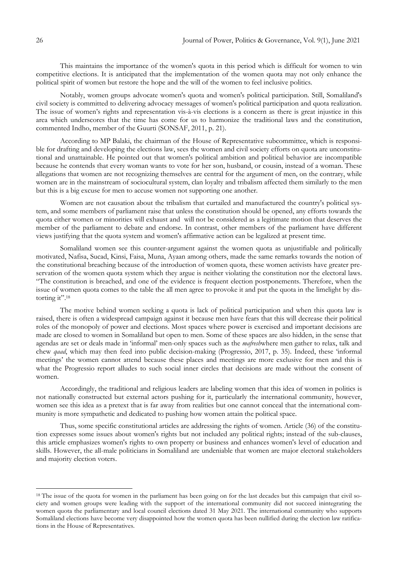This maintains the importance of the women's quota in this period which is difficult for women to win competitive elections. It is anticipated that the implementation of the women quota may not only enhance the political spirit of women but restore the hope and the will of the women to feel inclusive politics.

Notably, women groups advocate women's quota and women's political participation. Still, Somaliland's civil society is committed to delivering advocacy messages of women's political participation and quota realization. The issue of women's rights and representation vis-à-vis elections is a concern as there is great injustice in this area which underscores that the time has come for us to harmonize the traditional laws and the constitution, commented Indho, member of the Guurti (SONSAF, 2011, p. 21).

According to MP Balaki, the chairman of the House of Representative subcommittee, which is responsible for drafting and developing the elections law, sees the women and civil society efforts on quota are unconstitutional and unattainable. He pointed out that women's political ambition and political behavior are incompatible because he contends that every woman wants to vote for her son, husband, or cousin, instead of a woman. These allegations that women are not recognizing themselves are central for the argument of men, on the contrary, while women are in the mainstream of sociocultural system, clan loyalty and tribalism affected them similarly to the men but this is a big excuse for men to accuse women not supporting one another.

Women are not causation about the tribalism that curtailed and manufactured the country's political system, and some members of parliament raise that unless the constitution should be opened, any efforts towards the quota either women or minorities will exhaust and will not be considered as a legitimate motion that deserves the member of the parliament to debate and endorse. In contrast, other members of the parliament have different views justifying that the quota system and women's affirmative action can be legalized at present time.

Somaliland women see this counter-argument against the women quota as unjustifiable and politically motivated, Nafisa, Sucad, Kinsi, Faisa, Muna, Ayaan among others, made the same remarks towards the notion of the constitutional breaching because of the introduction of women quota, these women activists have greater preservation of the women quota system which they argue is neither violating the constitution nor the electoral laws. ―The constitution is breached, and one of the evidence is frequent election postponements. Therefore, when the issue of women quota comes to the table the all men agree to provoke it and put the quota in the limelight by distorting it".<sup>18</sup>

The motive behind women seeking a quota is lack of political participation and when this quota law is raised, there is often a widespread campaign against it because men have fears that this will decrease their political roles of the monopoly of power and elections. Most spaces where power is exercised and important decisions are made are closed to women in Somaliland but open to men. Some of these spaces are also hidden, in the sense that agendas are set or deals made in ‗informal' men-only spaces such as the *mafresh*where men gather to relax, talk and chew *qaad*, which may then feed into public decision-making (Progressio, 2017, p. 35). Indeed, these 'informal meetings' the women cannot attend because these places and meetings are more exclusive for men and this is what the Progressio report alludes to such social inner circles that decisions are made without the consent of women.

Accordingly, the traditional and religious leaders are labeling women that this idea of women in politics is not nationally constructed but external actors pushing for it, particularly the international community, however, women see this idea as a pretext that is far away from realities but one cannot conceal that the international community is more sympathetic and dedicated to pushing how women attain the political space.

Thus, some specific constitutional articles are addressing the rights of women. Article (36) of the constitution expresses some issues about women's rights but not included any political rights; instead of the sub-clauses, this article emphasizes women's rights to own property or business and enhances women's level of education and skills. However, the all-male politicians in Somaliland are undeniable that women are major electoral stakeholders and majority election voters.

<sup>&</sup>lt;sup>18</sup> The issue of the quota for women in the parliament has been going on for the last decades but this campaign that civil society and women groups were leading with the support of the international community did not succeed inintegrating the women quota the parliamentary and local council elections dated 31 May 2021. The international community who supports Somaliland elections have become very disappointed how the women quota has been nullified during the election law ratifications in the House of Representatives.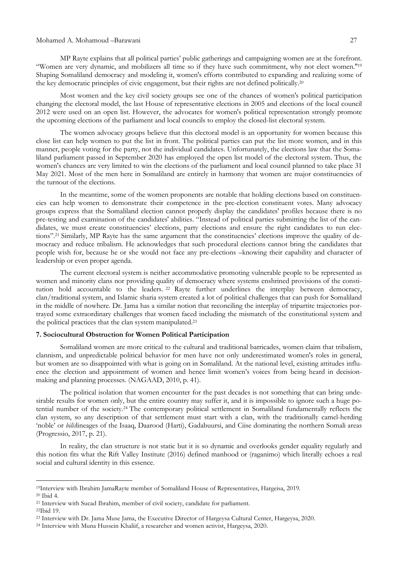MP Rayte explains that all political parties' public gatherings and campaigning women are at the forefront. ―Women are very dynamic, and mobilizers all time so if they have such commitment, why not elect women.''<sup>19</sup> Shaping Somaliland democracy and modeling it, women's efforts contributed to expanding and realizing some of the key democratic principles of civic engagement, but their rights are not defined politically.<sup>20</sup>

Most women and the key civil society groups see one of the chances of women's political participation changing the electoral model, the last House of representative elections in 2005 and elections of the local council 2012 were used on an open list. However, the advocates for women's political representation strongly promote the upcoming elections of the parliament and local councils to employ the closed-list electoral system.

The women advocacy groups believe that this electoral model is an opportunity for women because this close list can help women to put the list in front. The political parties can put the list more women, and in this manner, people voting for the party, not the individual candidates. Unfortunately, the elections law that the Somaliland parliament passed in September 2020 has employed the open list model of the electoral system. Thus, the women's chances are very limited to win the elections of the parliament and local council planned to take place 31 May 2021. Most of the men here in Somaliland are entirely in harmony that women are major constituencies of the turnout of the elections.

In the meantime, some of the women proponents are notable that holding elections based on constituencies can help women to demonstrate their competence in the pre-election constituent votes. Many advocacy groups express that the Somaliland election cannot properly display the candidates' profiles because there is no pre-testing and examination of the candidates' abilities. "Instead of political parties submitting the list of the candidates, we must create constituencies' elections, party elections and ensure the right candidates to run elections".<sup>21</sup> Similarly, MP Rayte has the same argument that the constituencies' elections improve the quality of democracy and reduce tribalism. He acknowledges that such procedural elections cannot bring the candidates that people wish for, because he or she would not face any pre-elections –knowing their capability and character of leadership or even proper agenda.

The current electoral system is neither accommodative promoting vulnerable people to be represented as women and minority clans nor providing quality of democracy where systems enshrined provisions of the constitution hold accountable to the leaders.<sup>22</sup> Rayte further underlines the interplay between democracy, clan/traditional system, and Islamic sharia system created a lot of political challenges that can push for Somaliland in the middle of nowhere. Dr. Jama has a similar notion that reconciling the interplay of tripartite trajectories portrayed some extraordinary challenges that women faced including the mismatch of the constitutional system and the political practices that the clan system manipulated.<sup>23</sup>

#### **7. Sociocultural Obstruction for Women Political Participation**

Somaliland women are more critical to the cultural and traditional barricades, women claim that tribalism, clannism, and unpredictable political behavior for men have not only underestimated women's roles in general, but women are so disappointed with what is going on in Somaliland. At the national level, existing attitudes influence the election and appointment of women and hence limit women's voices from being heard in decisionmaking and planning processes. (NAGAAD, 2010, p. 41).

The political isolation that women encounter for the past decades is not something that can bring undesirable results for women only, but the entire country may suffer it, and it is impossible to ignore such a huge potential number of the society.<sup>24</sup> The contemporary political settlement in Somaliland fundamentally reflects the clan system, so any description of that settlement must start with a clan, with the traditionally camel-herding ‗noble' or *bilis*lineages of the Isaaq, Daarood (Harti), Gadabuursi, and Ciise dominating the northern Somali areas (Progressio, 2017, p. 21).

In reality, the clan structure is not static but it is so dynamic and overlooks gender equality regularly and this notion fits what the Rift Valley Institute (2016) defined manhood or (raganimo) which literally echoes a real social and cultural identity in this essence.

<sup>19</sup>Interview with Ibrahim JamaRayte member of Somaliland House of Representatives, Hargeisa, 2019.

<sup>20</sup> Ibid 4.

<sup>21</sup> Interview with Sucad Ibrahim, member of civil society, candidate for parliament.

<sup>22</sup>Ibid 19.

<sup>23</sup> Interview with Dr. Jama Muse Jama, the Executive Director of Hargeysa Cultural Center, Hargeysa, 2020.

<sup>24</sup> Interview with Muna Hussein Khaliif, a researcher and women activist, Hargeysa, 2020.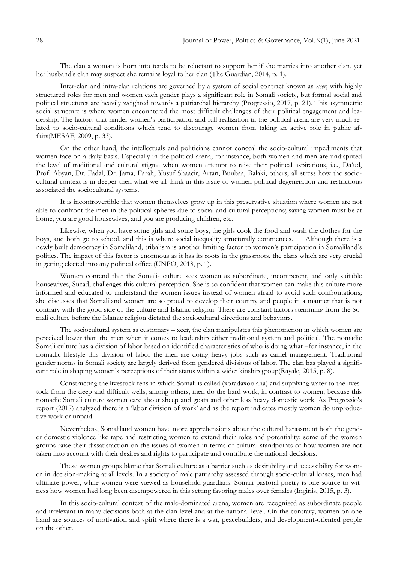The clan a woman is born into tends to be reluctant to support her if she marries into another clan, yet her husband's clan may suspect she remains loyal to her clan (The Guardian, 2014, p. 1).

Inter-clan and intra-clan relations are governed by a system of social contract known as *xeer*, with highly structured roles for men and women each gender plays a significant role in Somali society, but formal social and political structures are heavily weighted towards a patriarchal hierarchy (Progressio, 2017, p. 21). This asymmetric social structure is where women encountered the most difficult challenges of their political engagement and leadership. The factors that hinder women's participation and full realization in the political arena are very much related to socio-cultural conditions which tend to discourage women from taking an active role in public affairs(MESAF, 2009, p. 33).

On the other hand, the intellectuals and politicians cannot conceal the socio-cultural impediments that women face on a daily basis. Especially in the political arena; for instance, both women and men are undisputed the level of traditional and cultural stigma when women attempt to raise their political aspirations, i.e., Da'ud, Prof. Abyan, Dr. Fadal, Dr. Jama, Farah, Yusuf Shaacir, Artan, Buubaa, Balaki, others, all stress how the sociocultural context is in deeper then what we all think in this issue of women political degeneration and restrictions associated the sociocultural systems.

It is incontrovertible that women themselves grow up in this preservative situation where women are not able to confront the men in the political spheres due to social and cultural perceptions; saying women must be at home, you are good housewives, and you are producing children, etc.

Likewise, when you have some girls and some boys, the girls cook the food and wash the clothes for the boys, and both go to school, and this is where social inequality structurally commences. Although there is a newly built democracy in Somaliland, tribalism is another limiting factor to women's participation in Somaliland's politics. The impact of this factor is enormous as it has its roots in the grassroots, the clans which are very crucial in getting elected into any political office (UNPO, 2018, p. 1).

Women contend that the Somali- culture sees women as subordinate, incompetent, and only suitable housewives, Sucad, challenges this cultural perception. She is so confident that women can make this culture more informed and educated to understand the women issues instead of women afraid to avoid such confrontations; she discusses that Somaliland women are so proud to develop their country and people in a manner that is not contrary with the good side of the culture and Islamic religion. There are constant factors stemming from the Somali culture before the Islamic religion dictated the sociocultural directions and behaviors.

The sociocultural system as customary – xeer, the clan manipulates this phenomenon in which women are perceived lower than the men when it comes to leadership either traditional system and political. The nomadic Somali culture has a division of labor based on identified characteristics of who is doing what –for instance, in the nomadic lifestyle this division of labor the men are doing heavy jobs such as camel management. Traditional gender norms in Somali society are largely derived from gendered divisions of labor. The clan has played a significant role in shaping women's perceptions of their status within a wider kinship group(Rayale, 2015, p. 8).

Constructing the livestock fens in which Somali is called (xoradaxoolaha) and supplying water to the livestock from the deep and difficult wells, among others, men do the hard work, in contrast to women, because this nomadic Somali culture women care about sheep and goats and other less heavy domestic work. As Progressio's report (2017) analyzed there is a 'labor division of work' and as the report indicates mostly women do unproductive work or unpaid.

Nevertheless, Somaliland women have more apprehensions about the cultural harassment both the gender domestic violence like rape and restricting women to extend their roles and potentiality; some of the women groups raise their dissatisfaction on the issues of women in terms of cultural standpoints of how women are not taken into account with their desires and rights to participate and contribute the national decisions.

These women groups blame that Somali culture as a barrier such as desirability and accessibility for women in decision-making at all levels. In a society of male patriarchy assessed through socio-cultural lenses, men had ultimate power, while women were viewed as household guardians. Somali pastoral poetry is one source to witness how women had long been disempowered in this setting favoring males over females (Ingiriis, 2015, p. 3).

In this socio-cultural context of the male-dominated arena, women are recognized as subordinate people and irrelevant in many decisions both at the clan level and at the national level. On the contrary, women on one hand are sources of motivation and spirit where there is a war, peacebuilders, and development-oriented people on the other.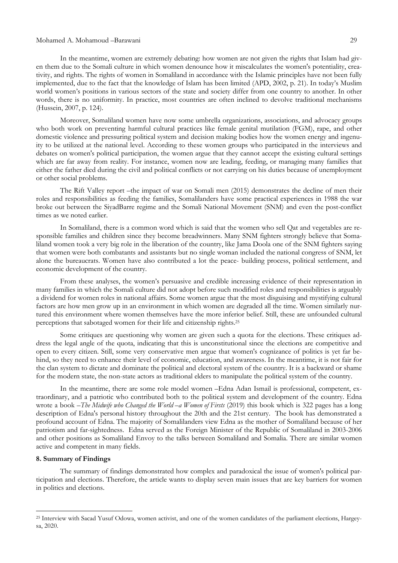In the meantime, women are extremely debating: how women are not given the rights that Islam had given them due to the Somali culture in which women denounce how it miscalculates the women's potentiality, creativity, and rights. The rights of women in Somaliland in accordance with the Islamic principles have not been fully implemented, due to the fact that the knowledge of Islam has been limited (APD, 2002, p. 21). In today's Muslim world women's positions in various sectors of the state and society differ from one country to another. In other words, there is no uniformity. In practice, most countries are often inclined to devolve traditional mechanisms (Hussein, 2007, p. 124).

Moreover, Somaliland women have now some umbrella organizations, associations, and advocacy groups who both work on preventing harmful cultural practices like female genital mutilation (FGM), rape, and other domestic violence and pressuring political system and decision making bodies how the women energy and ingenuity to be utilized at the national level. According to these women groups who participated in the interviews and debates on women's political participation, the women argue that they cannot accept the existing cultural settings which are far away from reality. For instance, women now are leading, feeding, or managing many families that either the father died during the civil and political conflicts or not carrying on his duties because of unemployment or other social problems.

The Rift Valley report –the impact of war on Somali men (2015) demonstrates the decline of men their roles and responsibilities as feeding the families, Somalilanders have some practical experiences in 1988 the war broke out between the SiyadBarre regime and the Somali National Movement (SNM) and even the post-conflict times as we noted earlier.

In Somaliland, there is a common word which is said that the women who sell Qat and vegetables are responsible families and children since they become breadwinners. Many SNM fighters strongly believe that Somaliland women took a very big role in the liberation of the country, like Jama Doola one of the SNM fighters saying that women were both combatants and assistants but no single woman included the national congress of SNM, let alone the bureaucrats. Women have also contributed a lot the peace- building process, political settlement, and economic development of the country.

From these analyses, the women's persuasive and credible increasing evidence of their representation in many families in which the Somali culture did not adopt before such modified roles and responsibilities is arguably a dividend for women roles in national affairs. Some women argue that the most disguising and mystifying cultural factors are how men grow up in an environment in which women are degraded all the time. Women similarly nurtured this environment where women themselves have the more inferior belief. Still, these are unfounded cultural perceptions that sabotaged women for their life and citizenship rights.<sup>25</sup>

Some critiques are questioning why women are given such a quota for the elections. These critiques address the legal angle of the quota, indicating that this is unconstitutional since the elections are competitive and open to every citizen. Still, some very conservative men argue that women's cognizance of politics is yet far behind, so they need to enhance their level of economic, education, and awareness. In the meantime, it is not fair for the clan system to dictate and dominate the political and electoral system of the country. It is a backward or shame for the modern state, the non-state actors as traditional elders to manipulate the political system of the country.

In the meantime, there are some role model women –Edna Adan Ismail is professional, competent, extraordinary, and a patriotic who contributed both to the political system and development of the country. Edna wrote a book –*The Midwife who Changed the World –a Women of Firsts* (2019) this book which is 322 pages has a long description of Edna's personal history throughout the 20th and the 21st century. The book has demonstrated a profound account of Edna. The majority of Somalilanders view Edna as the mother of Somaliland because of her patriotism and far-sightedness. Edna served as the Foreign Minister of the Republic of Somaliland in 2003-2006 and other positions as Somaliland Envoy to the talks between Somaliland and Somalia. There are similar women active and competent in many fields.

#### **8. Summary of Findings**

1

The summary of findings demonstrated how complex and paradoxical the issue of women's political participation and elections. Therefore, the article wants to display seven main issues that are key barriers for women in politics and elections.

<sup>25</sup> Interview with Sacad Yusuf Odowa, women activist, and one of the women candidates of the parliament elections, Hargeysa, 2020.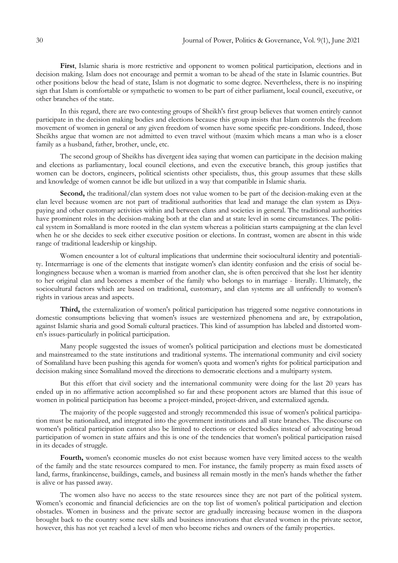**First**, Islamic sharia is more restrictive and opponent to women political participation, elections and in decision making. Islam does not encourage and permit a woman to be ahead of the state in Islamic countries. But other positions below the head of state, Islam is not dogmatic to some degree. Nevertheless, there is no inspiring sign that Islam is comfortable or sympathetic to women to be part of either parliament, local council, executive, or other branches of the state.

In this regard, there are two contesting groups of Sheikh's first group believes that women entirely cannot participate in the decision making bodies and elections because this group insists that Islam controls the freedom movement of women in general or any given freedom of women have some specific pre-conditions. Indeed, those Sheikhs argue that women are not admitted to even travel without (maxim which means a man who is a closer family as a husband, father, brother, uncle, etc.

The second group of Sheikhs has divergent idea saying that women can participate in the decision making and elections as parliamentary, local council elections, and even the executive branch, this group justifies that women can be doctors, engineers, political scientists other specialists, thus, this group assumes that these skills and knowledge of women cannot be idle but utilized in a way that compatible in Islamic sharia.

Second, the traditional/clan system does not value women to be part of the decision-making even at the clan level because women are not part of traditional authorities that lead and manage the clan system as Diyapaying and other customary activities within and between clans and societies in general. The traditional authorities have prominent roles in the decision-making both at the clan and at state level in some circumstances. The political system in Somaliland is more rooted in the clan system whereas a politician starts campaigning at the clan level when he or she decides to seek either executive position or elections. In contrast, women are absent in this wide range of traditional leadership or kingship.

Women encounter a lot of cultural implications that undermine their sociocultural identity and potentiality. Intermarriage is one of the elements that instigate women's clan identity confusion and the crisis of social belongingness because when a woman is married from another clan, she is often perceived that she lost her identity to her original clan and becomes a member of the family who belongs to in marriage - literally. Ultimately, the sociocultural factors which are based on traditional, customary, and clan systems are all unfriendly to women's rights in various areas and aspects.

**Third,** the externalization of women's political participation has triggered some negative connotations in domestic consumptions believing that women's issues are westernized phenomena and are, by extrapolation, against Islamic sharia and good Somali cultural practices. This kind of assumption has labeled and distorted women's issues-particularly in political participation.

Many people suggested the issues of women's political participation and elections must be domesticated and mainstreamed to the state institutions and traditional systems. The international community and civil society of Somaliland have been pushing this agenda for women's quota and women's rights for political participation and decision making since Somaliland moved the directions to democratic elections and a multiparty system.

But this effort that civil society and the international community were doing for the last 20 years has ended up in no affirmative action accomplished so far and these proponent actors are blamed that this issue of women in political participation has become a project-minded, project-driven, and externalized agenda.

The majority of the people suggested and strongly recommended this issue of women's political participation must be nationalized, and integrated into the government institutions and all state branches. The discourse on women's political participation cannot also be limited to elections or elected bodies instead of advocating broad participation of women in state affairs and this is one of the tendencies that women's political participation raised in its decades of struggle.

**Fourth,** women's economic muscles do not exist because women have very limited access to the wealth of the family and the state resources compared to men. For instance, the family property as main fixed assets of land, farms, frankincense, buildings, camels, and business all remain mostly in the men's hands whether the father is alive or has passed away.

The women also have no access to the state resources since they are not part of the political system. Women's economic and financial deficiencies are on the top list of women's political participation and election obstacles. Women in business and the private sector are gradually increasing because women in the diaspora brought back to the country some new skills and business innovations that elevated women in the private sector, however, this has not yet reached a level of men who become riches and owners of the family properties.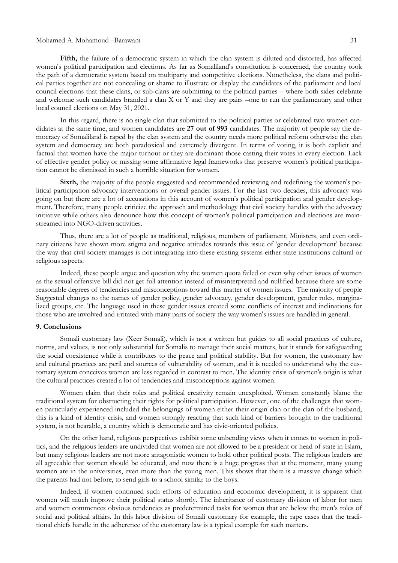Fifth, the failure of a democratic system in which the clan system is diluted and distorted, has affected women's political participation and elections. As far as Somaliland's constitution is concerned, the country took the path of a democratic system based on multiparty and competitive elections. Nonetheless, the clans and political parties together are not concealing or shame to illustrate or display the candidates of the parliament and local council elections that these clans, or sub-clans are submitting to the political parties – where both sides celebrate and welcome such candidates branded a clan X or Y and they are pairs –one to run the parliamentary and other local council elections on May 31, 2021.

In this regard, there is no single clan that submitted to the political parties or celebrated two women candidates at the same time, and women candidates are **27 out of 993** candidates. The majority of people say the democracy of Somaliland is raped by the clan system and the country needs more political reform otherwise the clan system and democracy are both paradoxical and extremely divergent. In terms of voting, it is both explicit and factual that women have the major turnout or they are dominant those casting their votes in every election. Lack of effective gender policy or missing some affirmative legal frameworks that preserve women's political participation cannot be dismissed in such a horrible situation for women.

**Sixth,** the majority of the people suggested and recommended reviewing and redefining the women's political participation advocacy interventions or overall gender issues. For the last two decades, this advocacy was going on but there are a lot of accusations in this account of women's political participation and gender development. Therefore, many people criticize the approach and methodology that civil society handles with the advocacy initiative while others also denounce how this concept of women's political participation and elections are mainstreamed into NGO-driven activities.

Thus, there are a lot of people as traditional, religious, members of parliament, Ministers, and even ordinary citizens have shown more stigma and negative attitudes towards this issue of ‗gender development' because the way that civil society manages is not integrating into these existing systems either state institutions cultural or religious aspects.

Indeed, these people argue and question why the women quota failed or even why other issues of women as the sexual offensive bill did not get full attention instead of misinterpreted and nullified because there are some reasonable degrees of tendencies and misconceptions toward this matter of women issues. The majority of people Suggested changes to the names of gender policy, gender advocacy, gender development, gender roles, marginalized groups, etc. The language used in these gender issues created some conflicts of interest and inclinations for those who are involved and irritated with many parts of society the way women's issues are handled in general.

# **9. Conclusions**

Somali customary law (Xeer Somali), which is not a written but guides to all social practices of culture, norms, and values, is not only substantial for Somalis to manage their social matters, but it stands for safeguarding the social coexistence while it contributes to the peace and political stability. But for women, the customary law and cultural practices are peril and sources of vulnerability of women, and it is needed to understand why the customary system conceives women are less regarded in contrast to men. The identity crisis of women's origin is what the cultural practices created a lot of tendencies and misconceptions against women.

Women claim that their roles and political creativity remain unexploited. Women constantly blame the traditional system for obstructing their rights for political participation. However, one of the challenges that women particularly experienced included the belongings of women either their origin clan or the clan of the husband, this is a kind of identity crisis, and women strongly reacting that such kind of barriers brought to the traditional system, is not bearable, a country which is democratic and has civic-oriented policies.

On the other hand, religious perspectives exhibit some unbending views when it comes to women in politics, and the religious leaders are undivided that women are not allowed to be a president or head of state in Islam, but many religious leaders are not more antagonistic women to hold other political posts. The religious leaders are all agreeable that women should be educated, and now there is a huge progress that at the moment, many young women are in the universities, even more than the young men. This shows that there is a massive change which the parents had not before, to send girls to a school similar to the boys.

Indeed, if women continued such efforts of education and economic development, it is apparent that women will much improve their political status shortly. The inheritance of customary division of labor for men and women commences obvious tendencies as predetermined tasks for women that are below the men's roles of social and political affairs. In this labor division of Somali customary for example, the rape cases that the traditional chiefs handle in the adherence of the customary law is a typical example for such matters.